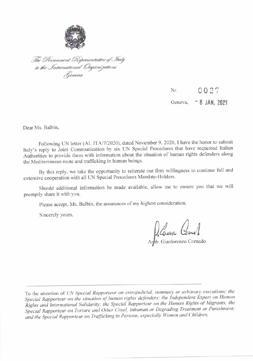

The Permanent Representative of Italy<br>to the International Organizations<br>Geneva

# 0027 Nr. Geneva, - 8 JAN, 2021

Dear Ms. Balbin,

Following UN letter (AL ITA/7/2020), dated November 9, 2020, I have the honor to submit Italy's reply to Joint Communication by six UN Special Procedures that have requested Italian Authorities to provide them with information about the situation of human rights defenders along the Mediterranean route and trafficking in human beings.

By this reply, we take the opportunity to reiterate our firm willingness to continue full and extensive cooperation with all UN Special Procedures Mandate-Holders.

Should additional information be made available, allow me to ensure you that we will promptly share it with you.

Please accept, Ms. Balbin, the assurances of my highest consideration.

Sincerely yours,

Début Comel

To the attention of UN Special Rapporteur on extrajudicial, summary or arbitrary executions; the Special Rapporteur on the situation of human rights defenders; the Independent Expert on Human Rights and International Solidarity; the Special Rapporteur on the Human Rights of Migrants; the Special Rapporteur on Torture and Other Cruel, Inhuman or Degrading Treatment or Punishment; and the Special Rapporteur on Trafficking in Persons, especially Women and Children.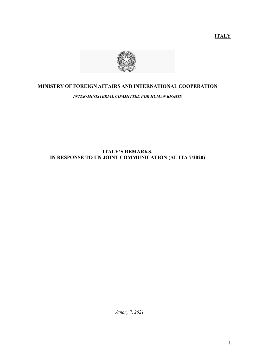**ITALY** 



## **MINISTRY OF FOREIGN AFFAIRS AND INTERNATIONAL COOPERATION**

*INTER-MINISTERIAL COMMITTEE FOR HUMAN RIGHTS*

## **ITALY'S REMARKS, IN RESPONSE TO UN JOINT COMMUNICATION (AL ITA 7/2020)**

*Janary 7, 2021*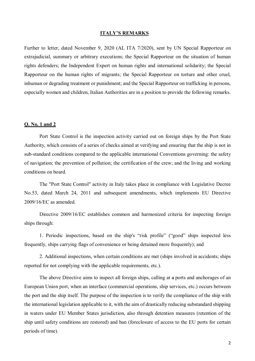### **ITALY'S REMARKS**

Further to letter, dated November 9, 2020 (AL ITA 7/2020), sent by UN Special Rapporteur on extrajudicial, summary or arbitrary executions; the Special Rapporteur on the situation of human rights defenders; the Independent Expert on human rights and international solidarity; the Special Rapporteur on the human rights of migrants; the Special Rapporteur on torture and other cruel, inhuman or degrading treatment or punishment; and the Special Rapporteur on trafficking in persons, especially women and children, Italian Authorities are in a position to provide the following remarks.

## **Q. No. 1 and 2**

Port State Control is the inspection activity carried out on foreign ships by the Port State Authority, which consists of a series of checks aimed at verifying and ensuring that the ship is not in sub-standard conditions compared to the applicable international Conventions governing: the safety of navigation; the prevention of pollution; the certification of the crew; and the living and working conditions on board.

The "Port State Control" activity in Italy takes place in compliance with Legislative Decree No.53, dated March 24, 2011 and subsequent amendments, which implements EU Directive 2009/16/EC as amended.

Directive 2009/16/EC establishes common and harmonized criteria for inspecting foreign ships through:

1. Periodic inspections, based on the ship's "risk profile" ("good" ships inspected less frequently, ships carrying flags of convenience or being detained more frequently); and

2. Additional inspections, when certain conditions are met (ships involved in accidents; ships reported for not complying with the applicable requirements, etc.).

The above Directive aims to inspect all foreign ships, calling at a ports and anchorages of an European Union port, when an interface (commercial operations, ship services, etc.) occurs between the port and the ship itself. The purpose of the inspection is to verify the compliance of the ship with the international legislation applicable to it, with the aim of drastically reducing substandard shipping in waters under EU Member States jurisdiction, also through detention measures (retention of the ship until safety conditions are restored) and ban (foreclosure of access to the EU ports for certain periods of time).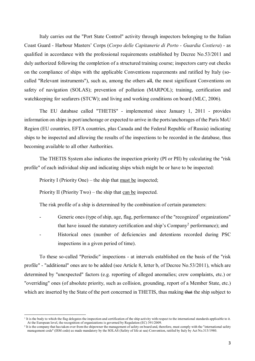Italy carries out the "Port State Control" activity through inspectors belonging to the Italian Coast Guard - Harbour Masters' Corps (*Corpo delle Capitanerie di Porto - Guardia Costiera*) - as qualified in accordance with the professional requirements established by Decree No.53/2011 and duly authorized following the completion of a structured training course; inspectors carry out checks on the compliance of ships with the applicable Conventions requrements and ratified by Italy (socalled "Relevant instruments"), such as, among the others all, the most significant Conventions on safety of navigation (SOLAS); prevention of pollution (MARPOL); training, certification and watchkeeping for seafarers (STCW); and living and working conditions on board (MLC, 2006).

The EU database called "THETIS" - implemented since January 1, 2011 - provides information on ships in port/anchorage or expected to arrive in the ports/anchorages of the Paris MoU Region (EU countries, EFTA countries, plus Canada and the Federal Republic of Russia) indicating ships to be inspected and allowing the results of the inspections to be recorded in the database, thus becoming available to all other Authorities.

The THETIS System also indicates the inspection priority (PI or PII) by calculating the "risk profile" of each individual ship and indicating ships which might be or have to be inspected:

Priority I (Priority One) – the ship that must be inspected;

Priority II (Priority Two) – the ship that can be inspected.

 $\overline{a}$ 

The risk profile of a ship is determined by the combination of certain parameters:

- Generic ones (type of ship, age, flag, performance of the "recognized<sup>1</sup> organizations" that have issued the statutory certification and ship's Company<sup>2</sup> performance); and
- Historical ones (number of deficiencies and detentions recorded during PSC inspections in a given period of time).

To these so-called "Periodic" inspections - at intervals established on the basis of the "risk profile" - "additional" ones are to be added (see Article 8, letter b, of Decree No.53/2011), which are determined by "unexpected" factors (e.g. reporting of alleged anomalies; crew complaints, etc.) or "overriding" ones (of absolute priority, such as collision, grounding, report of a Member State, etc.) which are inserted by the State of the port concerned in THETIS, thus making that the ship subject to

It is the body to which the flag delegates the inspection and certification of the ship activity with respect to the international standards applicable to it. At the European level, the recognition of organizations is governed by Regulation (EC) 391/2009.

<sup>2</sup> It is the company that has taken over from the shipowner the management of safety on board and, therefore, must comply with the "international safety management code" (ISM code) as made mandatory by the SOLAS (Safety of life at sea) Convention, ratifed by Italy by Act No.313/1980.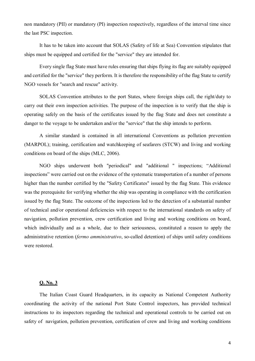non mandatory (PII) or mandatory (PI) inspection respectively, regardless of the interval time since the last PSC inspection.

It has to be taken into account that SOLAS (Safety of life at Sea) Convention stipulates that ships must be equipped and certified for the "service" they are intended for.

Every single flag State must have rules ensuring that ships flying its flag are suitably equipped and certified for the "service" they perform. It is therefore the responsibility of the flag State to certify NGO vessels for "search and rescue" activity.

SOLAS Convention attributes to the port States, where foreign ships call, the right/duty to carry out their own inspection activities. The purpose of the inspection is to verify that the ship is operating safely on the basis of the certificates issued by the flag State and does not constitute a danger to the voyage to be undertaken and/or the "service" that the ship intends to perform.

A similar standard is contained in all international Conventions as pollution prevention (MARPOL); training, certification and watchkeeping of seafarers (STCW) and living and working conditions on board of the ships (MLC, 2006).

NGO ships underwent both "periodical" and "additional " inspections; "Additional inspections" were carried out on the evidence of the systematic transportation of a number of persons higher than the number certified by the "Safety Certificates" issued by the flag State. This evidence was the prerequisite for verifying whether the ship was operating in compliance with the certification issued by the flag State. The outcome of the inspections led to the detection of a substantial number of technical and/or operational deficiencies with respect to the international standards on safety of navigation, pollution prevention, crew certification and living and working conditions on board, which individually and as a whole, due to their seriousness, constituted a reason to apply the administrative retention (*fermo amministrativo*, so-called detention) of ships until safety conditions were restored.

## **Q. No. 3**

The Italian Coast Guard Headquarters, in its capacity as National Competent Authority coordinating the activity of the national Port State Control inspectors, has provided technical instructions to its inspectors regarding the technical and operational controls to be carried out on safety of navigation, pollution prevention, certification of crew and living and working conditions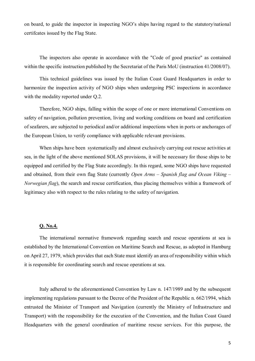on board, to guide the inspector in inspecting NGO's ships having regard to the statutory/national certifcates issued by the Flag State.

The inspectors also operate in accordance with the "Code of good practice" as contained within the specific instruction published by the Secretariat of the Paris MoU (instruction 41/2008/07).

This technical guidelines was issued by the Italian Coast Guard Headquarters in order to harmonize the inspection activity of NGO ships when undergoing PSC inspections in accordance with the modality reported under O.2.

Therefore, NGO ships, falling within the scope of one or more international Conventions on safety of navigation, pollution prevention, living and working conditions on board and certification of seafarers, are subjected to periodical and/or additional inspections when in ports or anchorages of the European Union, to verify compliance with applicable relevant provisions.

When ships have been systematically and almost exclusively carrying out rescue activities at sea, in the light of the above mentioned SOLAS provisions, it will be necessary for those ships to be equipped and certified by the Flag State accordingly. In this regard, some NGO ships have requested and obtained, from their own flag State (currently *Open Arms – Spanish flag and Ocean Viking – Norwegian flag*), the search and rescue certification, thus placing themselves within a framework of legitimacy also with respect to the rules relating to the safety of navigation.

### **Q. No.4.**

The international normative framework regarding search and rescue operations at sea is established by the International Convention on Maritime Search and Rescue, as adopted in Hamburg on April 27, 1979, which provides that each State must identify an area of responsibility within which it is responsible for coordinating search and rescue operations at sea.

Italy adhered to the aforementioned Convention by Law n. 147/1989 and by the subsequent implementing regulations pursuant to the Decree of the President of the Republic n. 662/1994, which entrusted the Minister of Transport and Navigation (currently the Ministry of Infrastructure and Transport) with the responsibility for the execution of the Convention, and the Italian Coast Guard Headquarters with the general coordination of maritime rescue services. For this purpose, the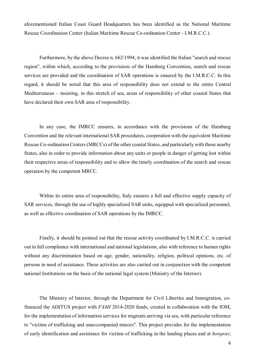aforementioned Italian Coast Guard Headquarters has been identified as the National Maritime Rescue Coordination Center (Italian Maritime Rescue Co-ordination Center - I.M.R.C.C.).

Furthermore, by the above Decree n. 662/1994, it was identified the Italian "search and rescue region", within which, according to the provisions of the Hamburg Convention, search and rescue services are provided and the coordination of SAR operations is ensured by the I.M.R.C.C. In this regard, it should be noted that this area of responsibility does not extend to the entire Central Mediterranean – insisting, in this stretch of sea, areas of responsibility of other coastal States that have declared their own SAR area of responsibility.

In any case, the IMRCC ensures, in accordance with the provisions of the Hamburg Convention and the relevant international SAR procedures, cooperation with the equivalent Maritime Rescue Co-ordination Centers (MRCCs) of the other coastal States, and particularly with those nearby States, also in order to provide information about any units or people in danger of getting lost within their respective areas of responsibility and to allow the timely coordination of the search and rescue operation by the competent MRCC.

Within its entire area of responsibility, Italy ensures a full and effective supply capacity of SAR services, through the use of highly specialized SAR units, equipped with specialized personnel, as well as effective coordination of SAR operations by the IMRCC.

Finally, it should be pointed out that the rescue activity coordinated by I.M.R.C.C. is carried out in full compliance with international and national legislations, also with reference to human rights without any discrimination based on age, gender, nationality, religion, political opinions, etc. of persons in need of assistance. These activities are also carried out in conjunction with the competent national Institutions on the basis of the national legal system (Ministry of the Interior).

The Ministry of Interior, through the Department for Civil Liberties and Immigration, cofinanced the ADITUS project with *FAMI* 2014-2020 funds, created in collaboration with the IOM, for the implementation of information services for migrants arriving via sea, with particular reference to "victims of trafficking and unaccompanied minors". This project provides for the implementation of early identification and assistance for victims of trafficking in the landing places and at *hotspots*;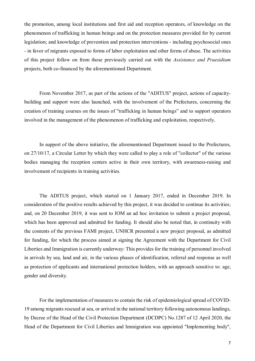the promotion, among local institutions and first aid and reception operators, of knowledge on the phenomenon of trafficking in human beings and on the protection measures provided for by current legislation; and knowledge of prevention and protection interventions - including psychosocial ones - in favor of migrants exposed to forms of labor exploitation and other forms of abuse. The activities of this project follow on from those previously carried out with the *Assistance and Praesidium* projects, both co-financed by the aforementioned Department.

From November 2017, as part of the actions of the "ADITUS" project, actions of capacitybuilding and support were also launched, with the involvement of the Prefectures, concerning the creation of training courses on the issues of "trafficking in human beings" and to support operators involved in the management of the phenomenon of trafficking and exploitation, respectively.

In support of the above initiative, the aforementioned Department issued to the Prefectures, on 27/10/17, a Circular Letter by which they were called to play a role of "collector" of the various bodies managing the reception centers active in their own territory, with awareness-raising and involvement of recipients in training activities.

The ADITUS project, which started on 1 January 2017, ended in December 2019. In consideration of the positive results achieved by this project, it was decided to continue its activities; and, on 20 December 2019, it was sent to IOM an ad hoc invitation to submit a project proposal, which has been approved and admitted for funding. It should also be noted that, in continuity with the contents of the previous FAMI project, UNHCR presented a new project proposal, as admitted for funding, for which the process aimed at signing the Agreement with the Department for Civil Liberties and Immigration is currently underway: This provides for the training of personnel involved in arrivals by sea, land and air, in the various phases of identification, referral and response as well as protection of applicants and international protection holders, with an approach sensitive to: age, gender and diversity.

For the implementation of measures to contain the risk of epidemiological spread of COVID-19 among migrants rescued at sea, or arrived in the national territory following autonomous landings, by Decree of the Head of the Civil Protection Department (DCDPC) No.1287 of 12 April 2020, the Head of the Department for Civil Liberties and Immigration was appointed "Implementing body",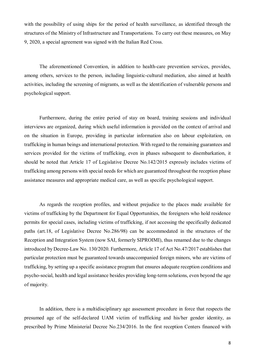with the possibility of using ships for the period of health surveillance, as identified through the structures of the Ministry of Infrastructure and Transportations. To carry out these measures, on May 9, 2020, a special agreement was signed with the Italian Red Cross.

The aforementioned Convention, in addition to health-care prevention services, provides, among others, services to the person, including linguistic-cultural mediation, also aimed at health activities, including the screening of migrants, as well as the identification of vulnerable persons and psychological support.

Furthermore, during the entire period of stay on board, training sessions and individual interviews are organized, during which useful information is provided on the context of arrival and on the situation in Europe, providing in particular information also on labour exploitation, on trafficking in human beings and international protection. With regard to the remaining guarantees and services provided for the victims of trafficking, even in phases subsequent to disembarkation, it should be noted that Article 17 of Legislative Decree No.142/2015 expressly includes victims of trafficking among persons with special needs for which are guaranteed throughout the reception phase assistance measures and appropriate medical care, as well as specific psychological support.

As regards the reception profiles, and without prejudice to the places made available for victims of trafficking by the Department for Equal Opportunities, the foreigners who hold residence permits for special cases, including victims of trafficking, if not accessing the specifically dedicated paths (art.18, of Legislative Decree No.286/98) can be accommodated in the structures of the Reception and Integration System (now SAI, formerly SIPROIMI), thus renamed due to the changes introduced by Decree-Law No. 130/2020. Furthermore, Article 17 of Act No.47/2017 establishes that particular protection must be guaranteed towards unaccompanied foreign minors, who are victims of trafficking, by setting up a specific assistance program that ensures adequate reception conditions and psycho-social, health and legal assistance besides providing long-term solutions, even beyond the age of majority.

In addition, there is a multidisciplinary age assessment procedure in force that respects the presumed age of the self-declared UAM victim of trafficking and his/her gender identity, as prescribed by Prime Ministerial Decree No.234/2016. In the first reception Centers financed with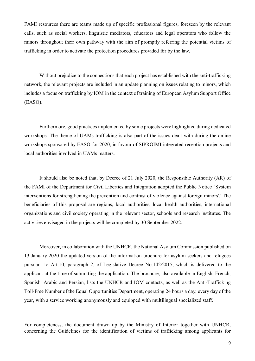FAMI resources there are teams made up of specific professional figures, foreseen by the relevant calls, such as social workers, linguistic mediators, educators and legal operators who follow the minors throughout their own pathway with the aim of promptly referring the potential victims of trafficking in order to activate the protection procedures provided for by the law.

Without prejudice to the connections that each project has established with the anti-trafficking network, the relevant projects are included in an update planning on issues relating to minors, which includes a focus on trafficking by IOM in the context of training of European Asylum Support Office (EASO).

Furthermore, good practices implemented by some projects were highlighted during dedicated workshops. The theme of UAMs trafficking is also part of the issues dealt with during the online workshops sponsored by EASO for 2020, in favour of SIPROIMI integrated reception projects and local authorities involved in UAMs matters.

It should also be noted that, by Decree of 21 July 2020, the Responsible Authority (AR) of the FAMI of the Department for Civil Liberties and Integration adopted the Public Notice "System interventions for strengthening the prevention and contrast of violence against foreign minors'.' The beneficiaries of this proposal are regions, local authorities, local health authorities, international organizations and civil society operating in the relevant sector, schools and research institutes. The activities envisaged in the projects will be completed by 30 September 2022.

Moreover, in collaboration with the UNHCR, the National Asylum Commission published on 13 January 2020 the updated version of the information brochure for asylum-seekers and refugees pursuant to Art.10, paragraph 2, of Legislative Decree No.142/2015, which is delivered to the applicant at the time of submitting the application. The brochure, also available in English, French, Spanish, Arabic and Persian, lists the UNHCR and IOM contacts, as well as the Anti-Trafficking Toll-Free Number of the Equal Opportunities Department, operating 24 hours a day, every day of the year, with a service working anonymously and equipped with multilingual specialized staff.

For completeness, the document drawn up by the Ministry of Interior together with UNHCR, concerning the Guidelines for the identification of victims of trafficking among applicants for